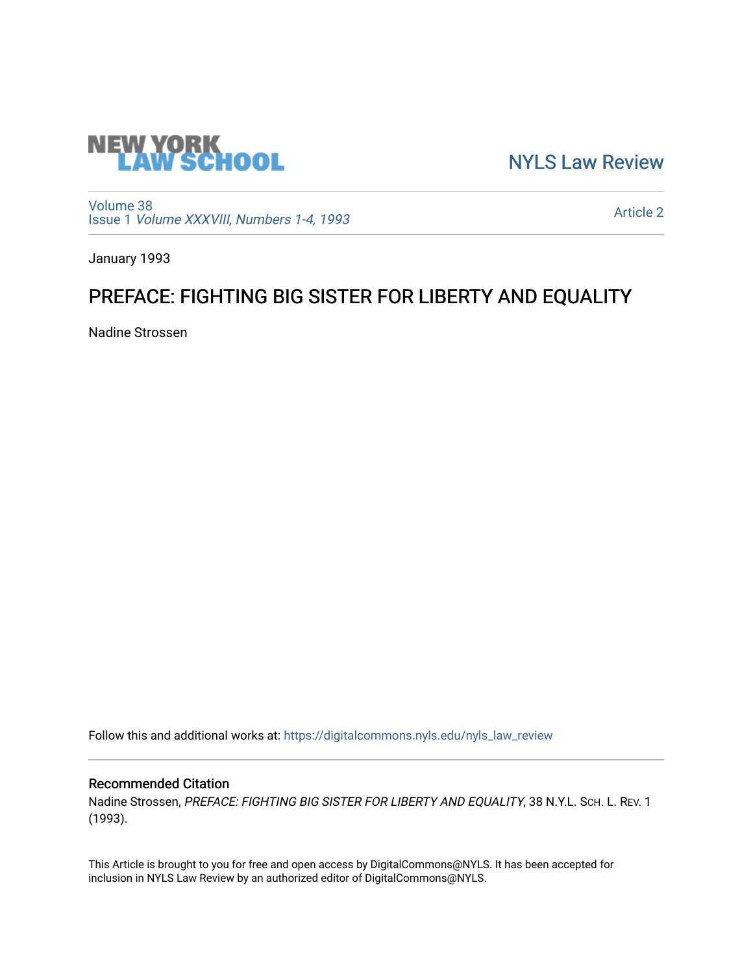

[NYLS Law Review](https://digitalcommons.nyls.edu/nyls_law_review) 

[Volume 38](https://digitalcommons.nyls.edu/nyls_law_review/vol38) Issue 1 [Volume XXXVIII, Numbers 1-4, 1993](https://digitalcommons.nyls.edu/nyls_law_review/vol38/iss1)

[Article 2](https://digitalcommons.nyls.edu/nyls_law_review/vol38/iss1/2) 

January 1993

## PREFACE: FIGHTING BIG SISTER FOR LIBERTY AND EQUALITY

Nadine Strossen

Follow this and additional works at: [https://digitalcommons.nyls.edu/nyls\\_law\\_review](https://digitalcommons.nyls.edu/nyls_law_review?utm_source=digitalcommons.nyls.edu%2Fnyls_law_review%2Fvol38%2Fiss1%2F2&utm_medium=PDF&utm_campaign=PDFCoverPages) 

## Recommended Citation

Nadine Strossen, PREFACE: FIGHTING BIG SISTER FOR LIBERTY AND EQUALITY, 38 N.Y.L. SCH. L. REV. 1 (1993).

This Article is brought to you for free and open access by DigitalCommons@NYLS. It has been accepted for inclusion in NYLS Law Review by an authorized editor of DigitalCommons@NYLS.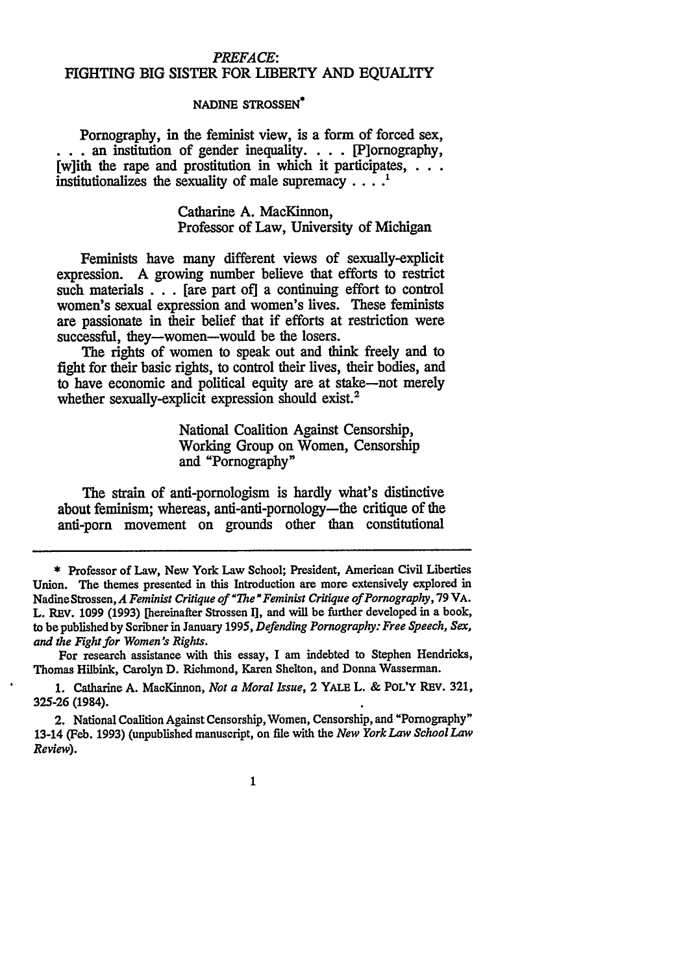## *PREFACE:* FIGHTING BIG SISTER FOR LIBERTY AND EQUALITY

## **NADINE STROSSEN\***

Pornography, in the feminist view, is a form of forced sex, an institution of gender inequality. . **.** . [P]ornography, [w]ith the rape and prostitution in which it participates, **. . .** institutionalizes the sexuality of male supremacy  $\dots$ <sup>1</sup>

> Catharine **A.** MacKinnon, Professor of Law, University of Michigan

Feminists have many different views of sexually-explicit expression. A growing number believe that efforts to restrict such materials  $\ldots$  [are part of] a continuing effort to control women's sexual expression and women's lives. These feminists are passionate in their belief that if efforts at restriction were successful, they-women-would be the losers.

The rights of women to speak out and think freely and to fight for their basic rights, to control their lives, their bodies, and to have economic and political equity are at stake-not merely whether sexually-explicit expression should exist.<sup>2</sup>

> National Coalition Against Censorship, Working Group on Women, Censorship and "Pornography"

The strain of anti-pornologism is hardly what's distinctive about feminism; whereas, anti-anti-pornology-the critique of the anti-porn movement on grounds other than constitutional

For research assistance with this essay, I am indebted to Stephen Hendricks, Thomas Hilbink, Carolyn D. Richmond, Karen Shelton, and Donna Wasserman.

1. Catharine A. MacKinnon, *Not a Moral Issue,* 2 YALE L. & POL'Y REV. 321, **325-26** (1984).

2. National Coalition Against Censorship, Women, Censorship, and "Pornography" 13-14 (Feb. **1993)** (unpublished manuscript, on file with the *New York Law School Law Review).*

 $\mathbf{1}$ 

<sup>\*</sup> Professor of Law, New York Law School; President, American Civil Liberties Union. The themes presented in this Introduction are more extensively explored in NadineStrossen, *A Feminist Critique of "he" Feminist Critique of Pornography,* **79** VA. L. REV. 1099 (1993) [hereinafter Strossen **I],** and will be further developed in a book, to be published by Scribner in January 1995, *Defending Pornography: Free Speech, Sex, and the Fight for Women's Rights.*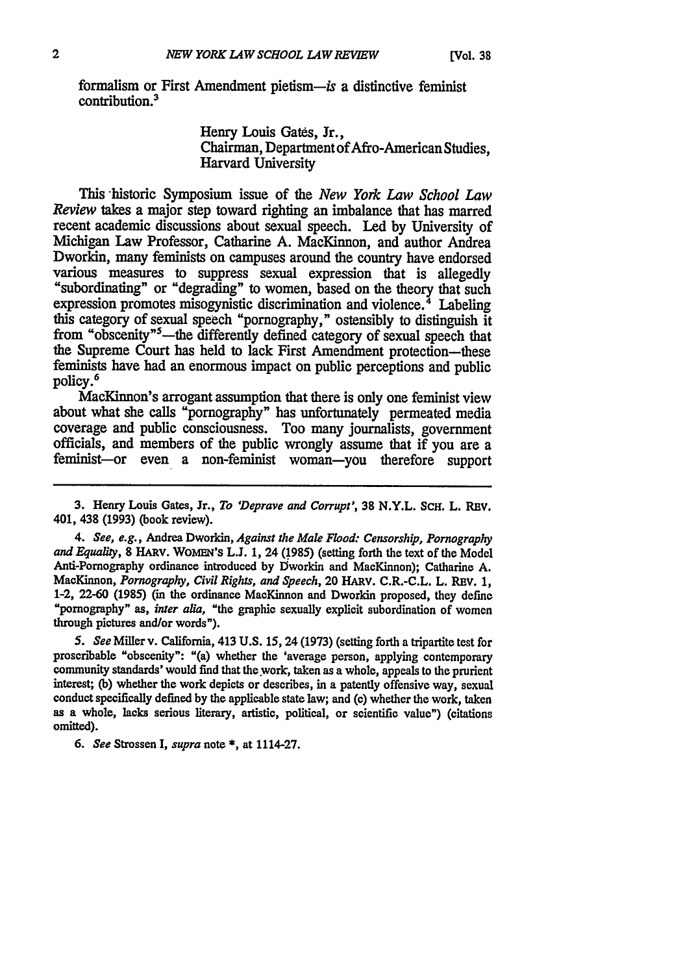formalism or First Amendment pietism-is a distinctive feminist contribution.

> Henry Louis Gates, Jr., Chairman, Department of Afro-American Studies, Harvard University

This -historic Symposium issue of the *New York Law School Law Review* takes a major step toward righting an imbalance that has marred recent academic discussions about sexual speech. Led by University of Michigan Law Professor, Catharine A. MacKinnon, and author Andrea Dworkin, many feminists on campuses around the country have endorsed various measures to suppress sexual expression that is allegedly "subordinating" or "degrading" to women, based on the theory that such expression promotes misogynistic discrimination and violence.<sup>4</sup> Labeling this category of sexual speech "pornography," ostensibly to distinguish it from "obscenity"<sup>5</sup>-the differently defined category of sexual speech that the Supreme Court has held to lack First Amendment protection-these feminists have had an enormous impact on public perceptions and public policy.<sup>6</sup>

MacKinnon's arrogant assumption that there is only one feminist view about what she calls "pornography" has unfortunately permeated media coverage and public consciousness. Too many journalists, government officials, and members of the public wrongly assume that if you are a feminist-or even a non-feminist woman-you therefore support

**3.** Henry Louis Gates, Jr., *To 'Deprave and Corrupt',* **38** N.Y.L. SCH. L. REV. 401, 438 **(1993)** (book review).

*4. See, e.g.,* Andrea Dworkin, *Against the Male Flood: Censorship, Pornography and Equality,* **8** HARv. **WOMn'S L.J. 1,** 24 **(1985)** (setting forth the text of the Model Anti-Pornography ordinance introduced **by** Dworkin and MacKinnon); Catharine **A.** MacKinnon, *Pornography, Civil Rights, and Speech,* 20 HARV. C.R.-C.L. L. REV. **1,** 1-2, **22-60 (1985)** (in the ordinance MacKinnon and Dworkin proposed, they define "pornography" as, *inter alia,* "the graphic sexually explicit subordination of women through pictures and/or words").

*5. See* Miller v. California, 413 **U.S. 15,** 24 **(1973)** (setting forth a tripartite test for proscribable "obscenity": "(a) whether the 'average person, applying contemporary community standards' would find that the work, taken as a whole, appeals to the prurient interest; **(b)** whether the work depicts or describes, in a patently offensive way, sexual conduct specifically defined **by** the applicable state law; and **(c)** whether the work, taken as a whole, lacks serious literary, artistic, political, or scientific value") (citations omitted).

**6.** *See* Strossen **I,** *supra* note **\*,** at 1114-27.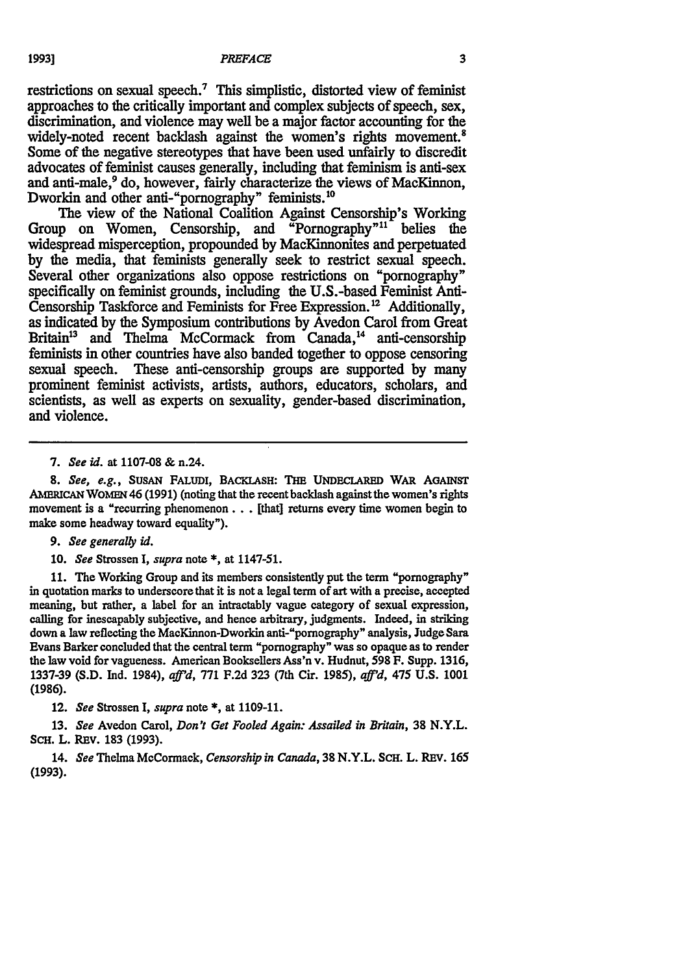restrictions on sexual speech.7 This simplistic, distorted view of feminist approaches to the critically important and complex subjects of speech, sex, discrimination, and violence may well be a major factor accounting for the widely-noted recent backlash against the women's rights movement.<sup>8</sup> Some of the negative stereotypes that have been used unfairly to discredit advocates of feminist causes generally, including that feminism is anti-sex and anti-male,<sup>9</sup> do, however, fairly characterize the views of MacKinnon, Dworkin and other anti-"pornography" feminists.<sup>10</sup>

The view of the National Coalition Against Censorship's Working Group on Women, Censorship, and "Pornography"<sup>11</sup> belies the widespread misperception, propounded by MacKinnonites and perpetuated by the media, that feminists generally seek to restrict sexual speech. Several other organizations also oppose restrictions on "pornography" specifically on feminist grounds, including the U.S.-based Feminist Anti-Censorship Taskforce and Feminists for Free Expression.<sup>12</sup> Additionally, as indicated by the Symposium contributions by Avedon Carol from Great Britain<sup>13</sup> and Thelma McCormack from Canada,<sup>14</sup> anti-censorship feminists in other countries have also banded together to oppose censoring sexual speech. These anti-censorship groups are supported by many prominent feminist activists, artists, authors, educators, scholars, and scientists, as well as experts on sexuality, gender-based discrimination, and violence.

*8.* See, *e.g.,* SusAN FALUDI, BACKLASH: THE UNDECLARED WAR AGAINST AMERICAN WOMEN 46 (1991) (noting that the recent backlash against the women's rights movement is a "recurring phenomenon **...** [that] returns every time women begin to make some headway toward equality").

*9. See* generally id.

**10.** *See* Strossen *I, supra* note **\*,** at 1147-51.

**11.** The Working Group and its members consistently put the term "pornography" in quotation marks to underscore that it is not a legal term of art with a precise, accepted meaning, but rather, a label for an intractably vague category of sexual expression, calling for inescapably subjective, and hence arbitrary, judgments. Indeed, in striking down a law reflecting the MacKinnon-Dworkin anti-"pornography" analysis, Judge Sara Evans Barker concluded that the central term "pornography" was so opaque as to render the law void for vagueness. American Booksellers Ass'n v. Hudnut, **598** F. Supp. **1316,** 1337-39 (S.D. Ind. 1984), *aff'd*, 771 F.2d 323 (7th Cir. 1985), *aff'd*, 475 U.S. 1001 **(1986).**

12. *See* Strossen I, *supra* note **\*,** at **1109-11.**

**13.** *See* Avedon Carol, *Don't Get Fooled Again: Assailed in Britain,* **38** N.Y.L. ScH. L. REv. **183 (1993).**

14. *See* Thelma McCormack, *Censorship in Canada,* **38** N.Y.L. SCH. L. REV. *165* **(1993).**

<sup>7.</sup> *See id.* at **1107-08 &** n.24.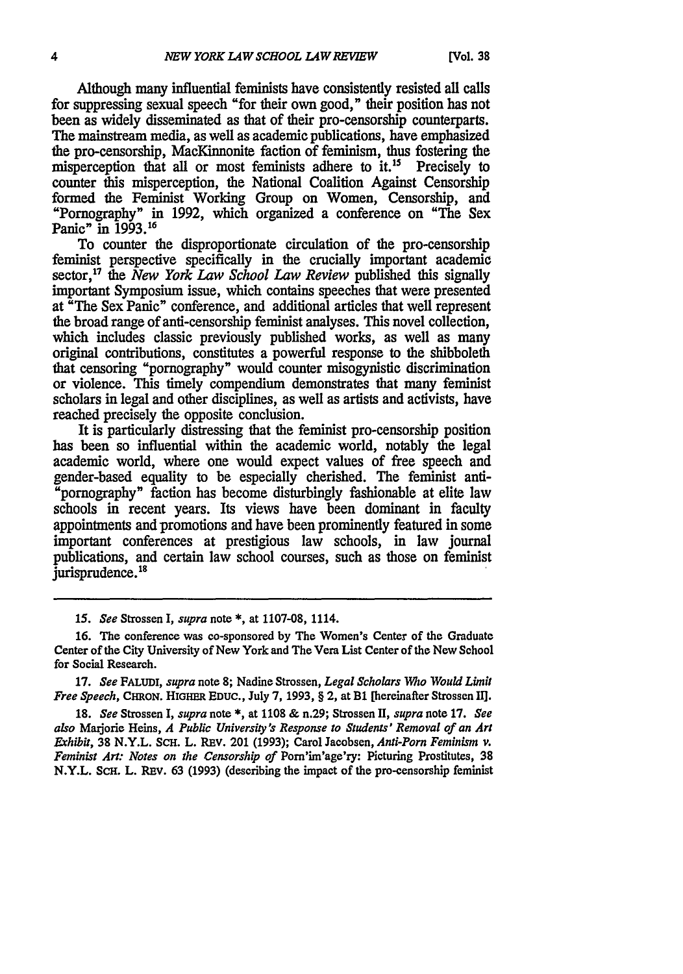Although many influential feminists have consistently resisted all calls for suppressing sexual speech "for their own good," their position has not been as widely disseminated as that of their pro-censorship counterparts. The mainstream media, as well as academic publications, have emphasized the pro-censorship, MacKinnonite faction of feminism, thus fostering the misperception that all or most feminists adhere to it.<sup>15</sup> Precisely to counter this misperception, the National Coalition Against Censorship formed the Feminist Working Group on Women, Censorship, and "Pornography" in 1992, which organized a conference on "The Sex Panic" in 1993.16

To counter the disproportionate circulation of the pro-censorship feminist perspective specifically in the crucially important academic sector,17 the *New York Law School Law Review* published this signally important Symposium issue, which contains speeches that were presented at "The Sex Panic" conference, and additional articles that well represent the broad range of anti-censorship feminist analyses. This novel collection, which includes classic previously published works, as well as many original contributions, constitutes a powerful response to the shibboleth that censoring "pornography" would counter misogynistic discrimination or violence. This timely compendium demonstrates that many feminist scholars in legal and other disciplines, as well as artists and activists, have reached precisely the opposite conclusion.

It is particularly distressing that the feminist pro-censorship position has been so influential within the academic world, notably the legal academic world, where one would expect values of free speech and gender-based equality to be especially cherished. The feminist antipornography" faction has become disturbingly fashionable at elite law schools in recent years. Its views have been dominant in faculty appointments and promotions and have been prominently featured in some important conferences at prestigious law schools, in law journal publications, and certain law school courses, such as those on feminist jurisprudence.<sup>18</sup>

15. *See* Strossen I, *supra* note **\*,** at **1107-08,** 1114.

17. *See* **FALUDI,** *supra* note **8;** Nadine Strossen, *Legal Scholars Who Would Limit Free Speech,* CHRON. **HIGHER EDUC.,** July 7, **1993,** § 2, at BI [hereinafter Strossen II].

**18.** *See* Strossen I, *supra* note **\*,** at **1108** & n.29; Strossen II, *supra* note 17. *See also* Maijorie Heins, *A Public University's Response to Students' Removal of an Art Exhibit,* 38 N.Y.L. **SCH.** L. **REV.** 201 (1993); Carol Jacobsen, *Anti-Porn Feminism* **v.** *Feminist Art: Notes on the Censorship of* Pom'im'age'ry: Picturing Prostitutes, **38** N.Y.L. SCH. L. **REv. 63** (1993) (describing the impact of the pro-censorship feminist

**<sup>16.</sup>** The conference was co-sponsored by The Women's Center of the Graduate Center of the City University of New York and The Vera List Center of the New School for Social Research.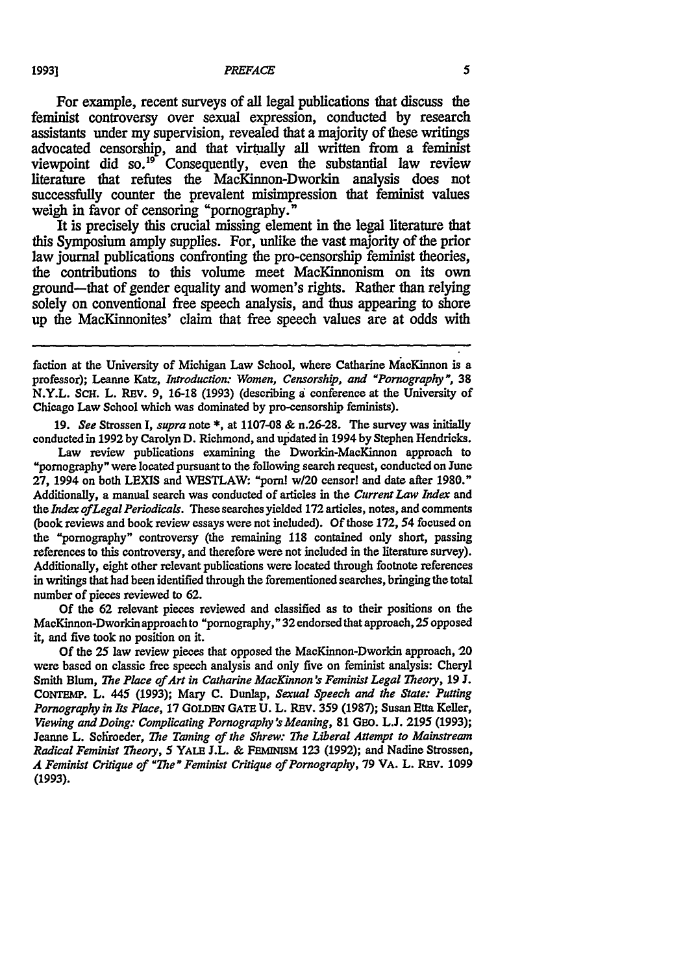For example, recent surveys of all legal publications that discuss the feminist controversy over sexual expression, conducted **by** research assistants under my supervision, revealed that a majority of these writings advocated censorship, and that virtually all written from a feminist viewpoint did so.<sup>19</sup> Consequently, even the substantial law review literature that refutes the MacKinnon-Dworkin analysis does not successfully counter the prevalent misimpression that feminist values weigh in favor of censoring "pornography."

It is precisely this crucial missing element in the legal literature that this Symposium amply supplies. For, unlike the vast majority of the prior law journal publications confronting the pro-censorship feminist theories, the contributions to this volume meet MacKinnonism on its own ground-that of gender equality and women's rights. Rather than relying solely on conventional free speech analysis, and thus appearing to shore up the MacKinnonites' claim that free speech values are at odds with

**19.** *See* Strossen **I,** *supra* note **\*,** at **1107-08 &** n.26-28. The survey was initially conducted in **1992 by** Carolyn **D.** Richmond, and updated in 1994 **by** Stephen Hendricks.

Law review publications examining the Dworkin-MacKinnon approach to "pornography" were located pursuant to the following search request, conducted on June **27,** 1994 on both **LEXIS** and WESTLAW: "porn! w/20 censor! and date after 1980." Additionally, a manual search was conducted of articles in the *Current Law Index* and the *Index ofLegal Periodicals.* These searches yielded **172** articles, notes, and comments (book reviews and book review essays were not included). **Of** those 172, 54 focused on the "pornography" controversy (the remaining **118** contained only short, passing references to this controversy, and therefore were not included in the literature survey). Additionally, eight other relevant publications were located through footnote references in writings that had been identified through the forementioned searches, bringing the total number of pieces reviewed to **62.**

**Of** the **62** relevant pieces reviewed and classified as to their positions on the MacKinnon-Dworkin approach to "pornography," **32** endorsed that approach, 25 opposed it, and five took no position on it.

Of the 25 law review pieces that opposed the MacKinnon-Dworkin approach, 20 were based on classic free speech analysis and only five on feminist analysis: Cheryl Smith Blum, *The Place of Art in Catharine MacKinnon 's Feminist Legal Theory,* 19 J. CoNrEMP. L. 445 (1993); Mary **C.** Dunlap, *Sexual Speech and the State: Putting Pornography in Its Place,* **17 GoLDEN GATE U.** L. REV. 359 (1987); Susan Etta Keller, *Viewing and Doing: Complicating Pornography's Meaning,* **81 GEo.** L.J. **2195 (1993);** Jeanne L. Schroeder, *The Taming of the Shrew: The Liberal Attempt to Mainstream Radical Feminist Theory,* 5 YALE J.L. & **FEMINISM 123 (1992);** and Nadine Strossen, A Feminist Critique of *"The"* Feminist Critique of Pornography, **79 VA.** L. REV. 1099 **(1993).**

faction at the University of Michigan Law School, where Catharine MacKinnon is a professor); Leanne Katz, *Introduction: Women, Censorship, and "Pornography",* **38** N.Y.L. ScH. L. REv. 9, 16-18 (1993) (describing a conference at the University of Chicago Law School which was dominated by pro-censorship feminists).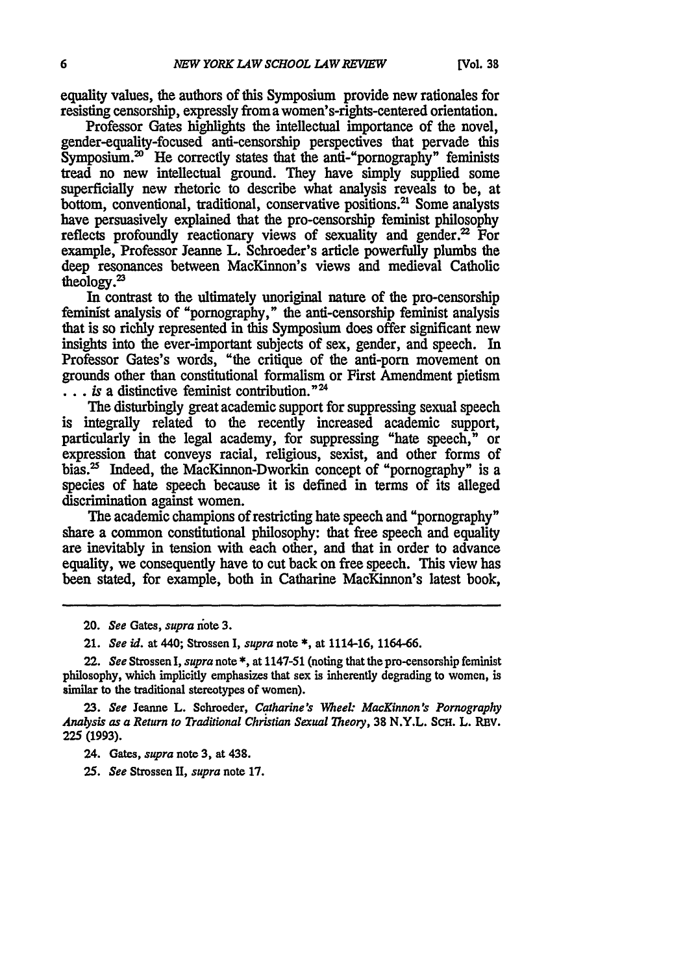equality values, the authors of this Symposium provide new rationales for resisting censorship, expressly froma women's-rights-centered orientation.

Professor Gates highlights the intellectual importance of the novel, gender-equality-focused anti-censorship perspectives that pervade this  $Symposing, 20$ <sup>\*</sup> He correctly states that the anti-"pornography" feminists tread no new intellectual ground. They have simply supplied some superficially new rhetoric to describe what analysis reveals to be, at bottom, conventional, traditional, conservative positions.<sup>21</sup> Some analysts have persuasively explained that the pro-censorship feminist philosophy reflects profoundly reactionary views of sexuality and gender. $2^2$  For example, Professor Jeanne L. Schroeder's article powerfully plumbs the deep resonances between MacKinnon's views and medieval Catholic theology.<sup>23</sup>

**In** contrast to the ultimately unoriginal nature of the pro-censorship feminist analysis of "pornography," the anti-censorship feminist analysis that is so richly represented in this Symposium does offer significant new insights into the ever-important subjects of sex, gender, and speech. In Professor Gates's words, "the critique of the anti-porn movement on grounds other than constitutional formalism or First Amendment pietism ... is a distinctive feminist contribution."<sup>24</sup>

The disturbingly great academic support for suppressing sexual speech is integrally related to the recently increased academic support, particularly in the legal academy, for suppressing "hate speech," or expression that conveys racial, religious, sexist, and other forms of bias.<sup>25</sup> Indeed, the MacKinnon-Dworkin concept of "pornography" is a species of hate speech because it is defined in terms of its alleged discrimination against women.

The academic champions of restricting hate speech and "pornography" share a common constitutional philosophy: that free speech and equality are inevitably in tension with each other, and that in order to advance equality, we consequently have to cut back on free speech. This view has been stated, for example, both in Catharine MacKinnon's latest book,

**23.** *See* Jeanne L. Schroeder, *Catharine's Meek. MacKinnon's Pornography Analysis as a Return to Traditional Christian Sexual Theory,* **38** N.Y.L. ScH. L. REV. **225 (1993).**

24. Gates, *supra* note 3, at 438.

*25. See* Strossen *11, supra* note 17.

<sup>20.</sup> *See* Gates, *supra* iote 3.

<sup>21.</sup> *See id.* at 440; Strossen I, *supra* note \*, at 1114-16, 1164-66.

<sup>22.</sup> *See* Strossen I, *supra* note\*, at 1147-51 (noting that the pro-censorship feminist philosophy, which implicitly emphasizes that sex is inherently degrading to women, is similar to the traditional stereotypes of women).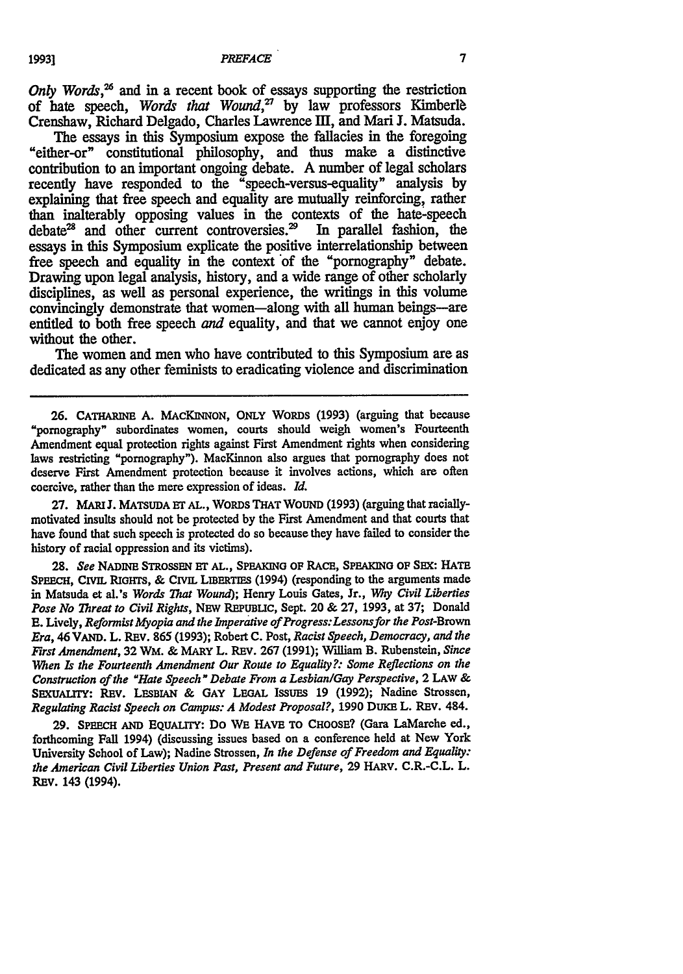*Only Words*,<sup>26</sup> and in a recent book of essays supporting the restriction of hate speech, *Words that Wound*<sup>27</sup> by law professors Kimberle Crenshaw, Richard Delgado, Charles Lawrence III, and Mari J. Matsuda.

The essays **in** this Symposium expose the fallacies in the foregoing "either-or" constitutional philosophy, and thus make a distinctive contribution to an important ongoing debate. **A** number of legal scholars recently have responded to the "speech-versus-equality" analysis **by** explaining that free speech and equality are mutually reinforcing, rather than inalterably opposing values in the contexts of the hate-speech debate<sup>28</sup> and other current controversies.<sup>29</sup> In parallel fashion, the debate<sup>28</sup> and other current controversies.<sup>29</sup> essays in this Symposium explicate the positive interrelationship between free speech and equality in the context of the "pornography" debate. Drawing upon legal analysis, history, and a wide range of other scholarly disciplines, as well as personal experience, the writings in this volume convincingly demonstrate that women-along with all human beings-are entitled to both free speech *and* equality, and that we cannot enjoy one without the other.

The women and men who have contributed to this Symposium are as dedicated as any other feminists to eradicating violence and discrimination

27. MARI J. MATSUDA ET AL., WORDS THAT WOUND (1993) (arguing that raciallymotivated insults should not be protected by the First Amendment and that courts that have found that such speech is protected do so because they have failed to consider the history of racial oppression and its victims).

**28.** *See* **NADINE** STROSSEN HF **AL., SPEAKING OF RACE, SPEAKNG** OF SEX: **HATE SPEECH,** CIVIL **RiGHTS, & CIVIL LIBERTIES** (1994) (responding to the arguments made in Matsuda et al.'s *Words That Wound);* Henry Louis Gates, Jr., Why *Civil Liberties Pose No Threat to Civil Rights,* **NEW** REPUBLIC, Sept. 20 **& 27,** 1993, at **37;** Donald **E.** Lively, *Reformist Myopia and the Imperative of Progress: Lessonsfor the Post-Brown Era,* 46 **VAND.** L. REV. **865** (1993); Robert **C.** Post, *Racist Speech, Democracy, and the First Amendment,* **32** WM. & MARY L. REv. **267** (1991); Wiliam B. Rubenstein, *Since When Is the Fourteenth Amendment Our Route to Equality?: Some Reflections on the Construction of the "Hate Speech" Debate From a Lesbian/Gay Perspective,* **2 LAW & SExUALITY: REV. LESBIAN & GAY LEGAL** ISSUES **19** (1992); Nadine Strossen, *Regulating Racist Speech on Campus: A Modest Proposal?,* 1990 DUKE L. REV. 484.

**29. SPEECH AND EQUALITY:** Do WE **HAVE TO CHOOSE?** (Gara LaMarche ed., forthcoming Fall 1994) (discussing issues based on a conference held at New York University School of Law); Nadine Strossen, *In the Defense of Freedom and Equality: the American Civil Liberties Union Past, Present and Future,* **29** HARV. C.R.-C.L. L. **REV.** 143 (1994).

19931

**<sup>26.</sup> CATHARINE** A. **MAcKINNON, ONLY** WORDS (1993) (arguing that because "pornography" subordinates women, courts should weigh women's Fourteenth Amendment equal protection rights against First Amendment rights when considering laws restricting "pornography"). MacKinnon also argues that pornography does not deserve First Amendment protection because it involves actions, which are often coercive, rather than the mere expression of ideas. *Id.*